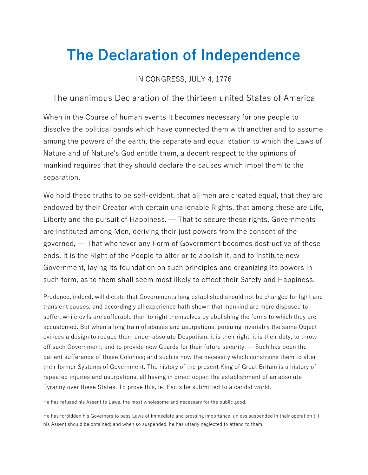## The Declaration of Independence

IN CONGRESS, JULY 4, 1776

The unanimous Declaration of the thirteen united States of America

When in the Course of human events it becomes necessary for one people to dissolve the political bands which have connected them with another and to assume among the powers of the earth, the separate and equal station to which the Laws of Nature and of Nature's God entitle them, a decent respect to the opinions of mankind requires that they should declare the causes which impel them to the separation.

We hold these truths to be self-evident, that all men are created equal, that they are endowed by their Creator with certain unalienable Rights, that among these are Life, Liberty and the pursuit of Happiness. — That to secure these rights, Governments are instituted among Men, deriving their just powers from the consent of the governed, — That whenever any Form of Government becomes destructive of these ends, it is the Right of the People to alter or to abolish it, and to institute new Government, laying its foundation on such principles and organizing its powers in such form, as to them shall seem most likely to effect their Safety and Happiness.

Prudence, indeed, will dictate that Governments long established should not be changed for light and transient causes; and accordingly all experience hath shewn that mankind are more disposed to suffer, while evils are sufferable than to right themselves by abolishing the forms to which they are accustomed. But when a long train of abuses and usurpations, pursuing invariably the same Object evinces a design to reduce them under absolute Despotism, it is their right, it is their duty, to throw off such Government, and to provide new Guards for their future security. — Such has been the patient sufferance of these Colonies; and such is now the necessity which constrains them to alter their former Systems of Government. The history of the present King of Great Britain is a history of repeated injuries and usurpations, all having in direct object the establishment of an absolute Tyranny over these States. To prove this, let Facts be submitted to a candid world.

He has refused his Assent to Laws, the most wholesome and necessary for the public good.

He has forbidden his Governors to pass Laws of immediate and pressing importance, unless suspended in their operation till his Assent should be obtained; and when so suspended, he has utterly neglected to attend to them.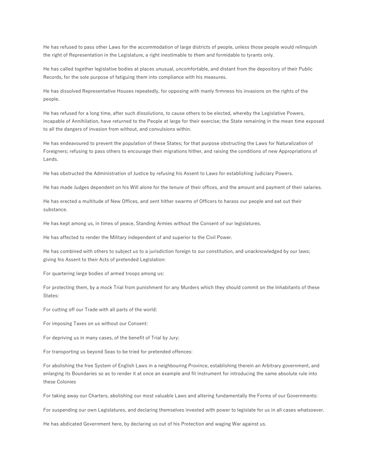He has refused to pass other Laws for the accommodation of large districts of people, unless those people would relinquish the right of Representation in the Legislature, a right inestimable to them and formidable to tyrants only.

He has called together legislative bodies at places unusual, uncomfortable, and distant from the depository of their Public Records, for the sole purpose of fatiguing them into compliance with his measures.

He has dissolved Representative Houses repeatedly, for opposing with manly firmness his invasions on the rights of the people.

He has refused for a long time, after such dissolutions, to cause others to be elected, whereby the Legislative Powers, incapable of Annihilation, have returned to the People at large for their exercise; the State remaining in the mean time exposed to all the dangers of invasion from without, and convulsions within.

He has endeavoured to prevent the population of these States; for that purpose obstructing the Laws for Naturalization of Foreigners; refusing to pass others to encourage their migrations hither, and raising the conditions of new Appropriations of Lands.

He has obstructed the Administration of Justice by refusing his Assent to Laws for establishing Judiciary Powers.

He has made Judges dependent on his Will alone for the tenure of their offices, and the amount and payment of their salaries.

He has erected a multitude of New Offices, and sent hither swarms of Officers to harass our people and eat out their substance.

He has kept among us, in times of peace, Standing Armies without the Consent of our legislatures.

He has affected to render the Military independent of and superior to the Civil Power.

He has combined with others to subject us to a jurisdiction foreign to our constitution, and unacknowledged by our laws; giving his Assent to their Acts of pretended Legislation:

For quartering large bodies of armed troops among us:

For protecting them, by a mock Trial from punishment for any Murders which they should commit on the Inhabitants of these States:

For cutting off our Trade with all parts of the world:

For imposing Taxes on us without our Consent:

For depriving us in many cases, of the benefit of Trial by Jury:

For transporting us beyond Seas to be tried for pretended offences:

For abolishing the free System of English Laws in a neighbouring Province, establishing therein an Arbitrary government, and enlarging its Boundaries so as to render it at once an example and fit instrument for introducing the same absolute rule into these Colonies

For taking away our Charters, abolishing our most valuable Laws and altering fundamentally the Forms of our Governments:

For suspending our own Legislatures, and declaring themselves invested with power to legislate for us in all cases whatsoever.

He has abdicated Government here, by declaring us out of his Protection and waging War against us.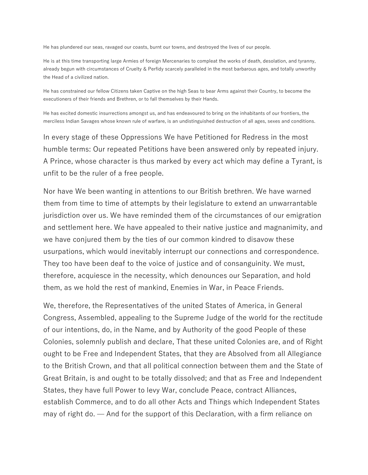He has plundered our seas, ravaged our coasts, burnt our towns, and destroyed the lives of our people.

He is at this time transporting large Armies of foreign Mercenaries to compleat the works of death, desolation, and tyranny, already begun with circumstances of Cruelty & Perfidy scarcely paralleled in the most barbarous ages, and totally unworthy the Head of a civilized nation.

He has constrained our fellow Citizens taken Captive on the high Seas to bear Arms against their Country, to become the executioners of their friends and Brethren, or to fall themselves by their Hands.

He has excited domestic insurrections amongst us, and has endeavoured to bring on the inhabitants of our frontiers, the merciless Indian Savages whose known rule of warfare, is an undistinguished destruction of all ages, sexes and conditions.

In every stage of these Oppressions We have Petitioned for Redress in the most humble terms: Our repeated Petitions have been answered only by repeated injury. A Prince, whose character is thus marked by every act which may define a Tyrant, is unfit to be the ruler of a free people.

Nor have We been wanting in attentions to our British brethren. We have warned them from time to time of attempts by their legislature to extend an unwarrantable jurisdiction over us. We have reminded them of the circumstances of our emigration and settlement here. We have appealed to their native justice and magnanimity, and we have conjured them by the ties of our common kindred to disavow these usurpations, which would inevitably interrupt our connections and correspondence. They too have been deaf to the voice of justice and of consanguinity. We must, therefore, acquiesce in the necessity, which denounces our Separation, and hold them, as we hold the rest of mankind, Enemies in War, in Peace Friends.

We, therefore, the Representatives of the united States of America, in General Congress, Assembled, appealing to the Supreme Judge of the world for the rectitude of our intentions, do, in the Name, and by Authority of the good People of these Colonies, solemnly publish and declare, That these united Colonies are, and of Right ought to be Free and Independent States, that they are Absolved from all Allegiance to the British Crown, and that all political connection between them and the State of Great Britain, is and ought to be totally dissolved; and that as Free and Independent States, they have full Power to levy War, conclude Peace, contract Alliances, establish Commerce, and to do all other Acts and Things which Independent States may of right do. — And for the support of this Declaration, with a firm reliance on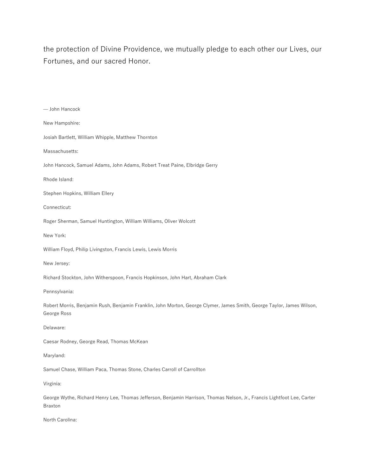the protection of Divine Providence, we mutually pledge to each other our Lives, our Fortunes, and our sacred Honor.

| - John Hancock                                                                                                                            |
|-------------------------------------------------------------------------------------------------------------------------------------------|
| New Hampshire:                                                                                                                            |
| Josiah Bartlett, William Whipple, Matthew Thornton                                                                                        |
| Massachusetts:                                                                                                                            |
| John Hancock, Samuel Adams, John Adams, Robert Treat Paine, Elbridge Gerry                                                                |
| Rhode Island:                                                                                                                             |
| Stephen Hopkins, William Ellery                                                                                                           |
| Connecticut:                                                                                                                              |
| Roger Sherman, Samuel Huntington, William Williams, Oliver Wolcott                                                                        |
| New York:                                                                                                                                 |
| William Floyd, Philip Livingston, Francis Lewis, Lewis Morris                                                                             |
| New Jersey:                                                                                                                               |
| Richard Stockton, John Witherspoon, Francis Hopkinson, John Hart, Abraham Clark                                                           |
| Pennsylvania:                                                                                                                             |
| Robert Morris, Benjamin Rush, Benjamin Franklin, John Morton, George Clymer, James Smith, George Taylor, James Wilson,<br>George Ross     |
| Delaware:                                                                                                                                 |
| Caesar Rodney, George Read, Thomas McKean                                                                                                 |
| Maryland:                                                                                                                                 |
| Samuel Chase, William Paca, Thomas Stone, Charles Carroll of Carrollton                                                                   |
| Virginia:                                                                                                                                 |
| George Wythe, Richard Henry Lee, Thomas Jefferson, Benjamin Harrison, Thomas Nelson, Jr., Francis Lightfoot Lee, Carter<br><b>Braxton</b> |

North Carolina: